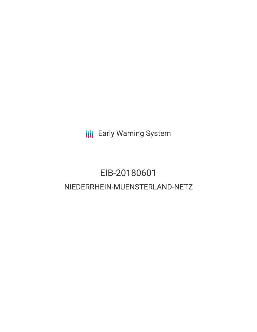**III** Early Warning System

# EIB-20180601 NIEDERRHEIN-MUENSTERLAND-NETZ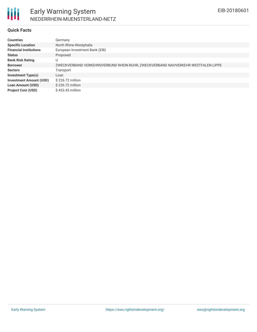

#### **Quick Facts**

| <b>Countries</b>               | Germany                                                                          |  |  |  |  |
|--------------------------------|----------------------------------------------------------------------------------|--|--|--|--|
| <b>Specific Location</b>       | North Rhine-Westphalia                                                           |  |  |  |  |
| <b>Financial Institutions</b>  | European Investment Bank (EIB)                                                   |  |  |  |  |
| <b>Status</b>                  | Proposed                                                                         |  |  |  |  |
| <b>Bank Risk Rating</b>        | U                                                                                |  |  |  |  |
| <b>Borrower</b>                | ZWECKVERBAND VERKEHRSVERBUND RHEIN-RUHR, ZWECKVERBAND NAHVERKEHR WESTFALEN-LIPPE |  |  |  |  |
| <b>Sectors</b>                 | Transport                                                                        |  |  |  |  |
| <b>Investment Type(s)</b>      | Loan                                                                             |  |  |  |  |
| <b>Investment Amount (USD)</b> | \$226.72 million                                                                 |  |  |  |  |
| <b>Loan Amount (USD)</b>       | \$226.72 million                                                                 |  |  |  |  |
| <b>Project Cost (USD)</b>      | \$453.45 million                                                                 |  |  |  |  |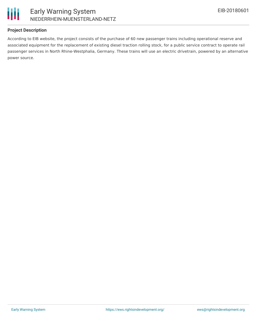



#### **Project Description**

According to EIB website, the project consists of the purchase of 60 new passenger trains including operational reserve and associated equipment for the replacement of existing diesel traction rolling stock, for a public service contract to operate rail passenger services in North Rhine-Westphalia, Germany. These trains will use an electric drivetrain, powered by an alternative power source.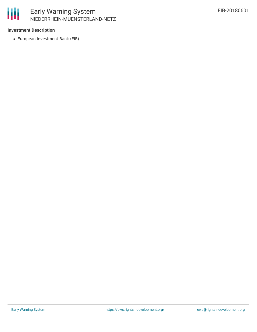

# Early Warning System NIEDERRHEIN-MUENSTERLAND-NETZ

#### **Investment Description**

European Investment Bank (EIB)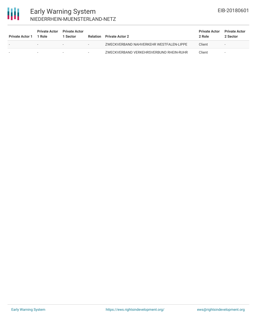

## Early Warning System NIEDERRHEIN-MUENSTERLAND-NETZ

| <b>Private Actor 1</b> | <b>Private Actor</b><br>1 Role | <b>Private Actor</b><br>1 Sector | <b>Relation</b>          | <b>Private Actor 2</b>                  | <b>Private Actor</b><br>2 Role | <b>Private Actor</b><br>2 Sector |
|------------------------|--------------------------------|----------------------------------|--------------------------|-----------------------------------------|--------------------------------|----------------------------------|
|                        | $\overline{\phantom{0}}$       | $\overline{\phantom{0}}$         | $\overline{\phantom{a}}$ | ZWECKVERBAND NAHVERKEHR WESTFALEN-LIPPE | Client                         | $\overline{\phantom{a}}$         |
|                        |                                |                                  | $\overline{\phantom{a}}$ | ZWECKVERBAND VERKEHRSVERBUND RHEIN-RUHR | Client                         |                                  |